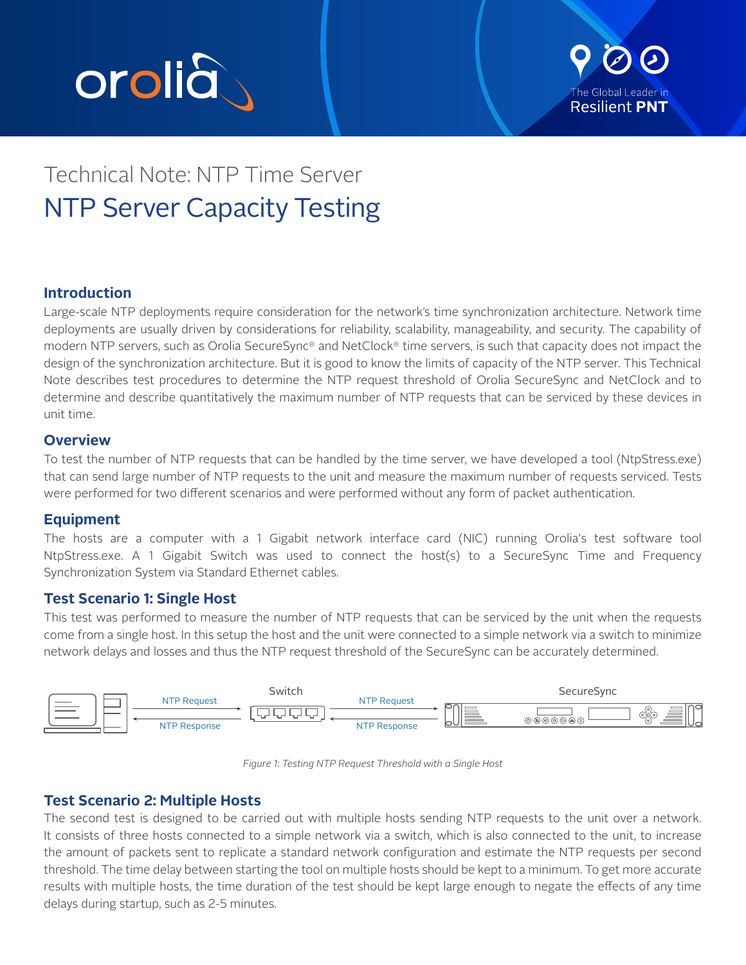



# Technical Note: NTP Time Server NTP Server Capacity Testing

## **Introduction**

Large-scale NTP deployments require consideration for the network's time synchronization architecture. Network time deployments are usually driven by considerations for reliability, scalability, manageability, and security. The capability of modern NTP servers, such as Orolia SecureSync® and NetClock® time servers, is such that capacity does not impact the design of the synchronization architecture. But it is good to know the limits of capacity of the NTP server. This Technical Note describes test procedures to determine the NTP request threshold of Orolia SecureSync and NetClock and to determine and describe quantitatively the maximum number of NTP requests that can be serviced by these devices in unit time.

#### **Overview**

To test the number of NTP requests that can be handled by the time server, we have developed a tool (NtpStress.exe) that can send large number of NTP requests to the unit and measure the maximum number of requests serviced. Tests were performed for two different scenarios and were performed without any form of packet authentication.

#### **Equipment**

The hosts are a computer with a 1 Gigabit network interface card (NIC) running Orolia's test software tool NtpStress.exe. A 1 Gigabit Switch was used to connect the host(s) to a SecureSync Time and Frequency Synchronization System via Standard Ethernet cables.

#### **Test Scenario 1: Single Host**

This test was performed to measure the number of NTP requests that can be serviced by the unit when the requests come from a single host. In this setup the host and the unit were connected to a simple network via a switch to minimize network delays and losses and thus the NTP request threshold of the SecureSync can be accurately determined.



*Figure 1: Testing NTP Request Threshold with a Single Host*

#### **Test Scenario 2: Multiple Hosts**

The second test is designed to be carried out with multiple hosts sending NTP requests to the unit over a network. It consists of three hosts connected to a simple network via a switch, which is also connected to the unit, to increase the amount of packets sent to replicate a standard network configuration and estimate the NTP requests per second threshold. The time delay between starting the tool on multiple hosts should be kept to a minimum. To get more accurate results with multiple hosts, the time duration of the test should be kept large enough to negate the effects of any time delays during startup, such as 2-5 minutes.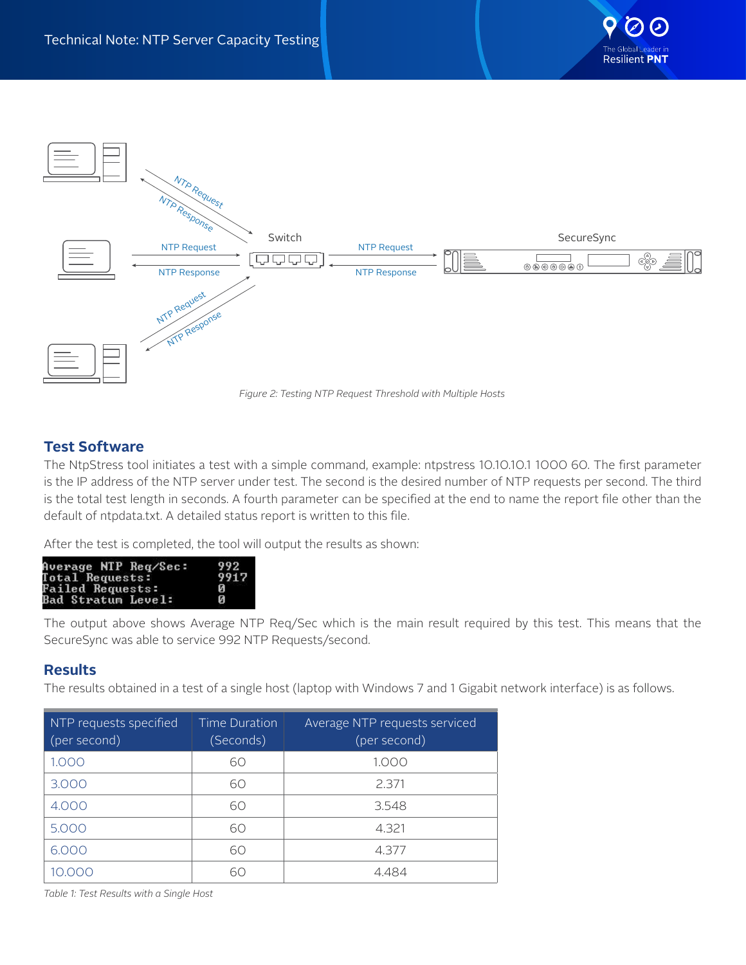



### **Test Software**

The NtpStress tool initiates a test with a simple command, example: ntpstress 10.10.10.1 1000 60. The first parameter is the IP address of the NTP server under test. The second is the desired number of NTP requests per second. The third is the total test length in seconds. A fourth parameter can be specified at the end to name the report file other than the default of ntpdata.txt. A detailed status report is written to this file.

After the test is completed, the tool will output the results as shown:

| Average NTP Req⁄Sec:    | 992  |
|-------------------------|------|
| <b>Total Requests:</b>  | 991' |
| <b>Failed Requests:</b> | и    |
| Bad Stratum Level:      | Й    |

The output above shows Average NTP Req/Sec which is the main result required by this test. This means that the SecureSync was able to service 992 NTP Requests/second.

## **Results**

The results obtained in a test of a single host (laptop with Windows 7 and 1 Gigabit network interface) is as follows.

| NTP requests specified<br>(per second) | Time Duration<br>(Seconds) | Average NTP requests serviced<br>(per second) |
|----------------------------------------|----------------------------|-----------------------------------------------|
| 1.000                                  | 60                         | 1.000                                         |
| 3,000                                  | 60                         | 2.371                                         |
| 4.000                                  | 60                         | 3.548                                         |
| 5.000                                  | 60                         | 4.321                                         |
| 6.000                                  | 60                         | 4.377                                         |
|                                        | 60                         | 4 484                                         |

*Table 1: Test Results with a Single Host*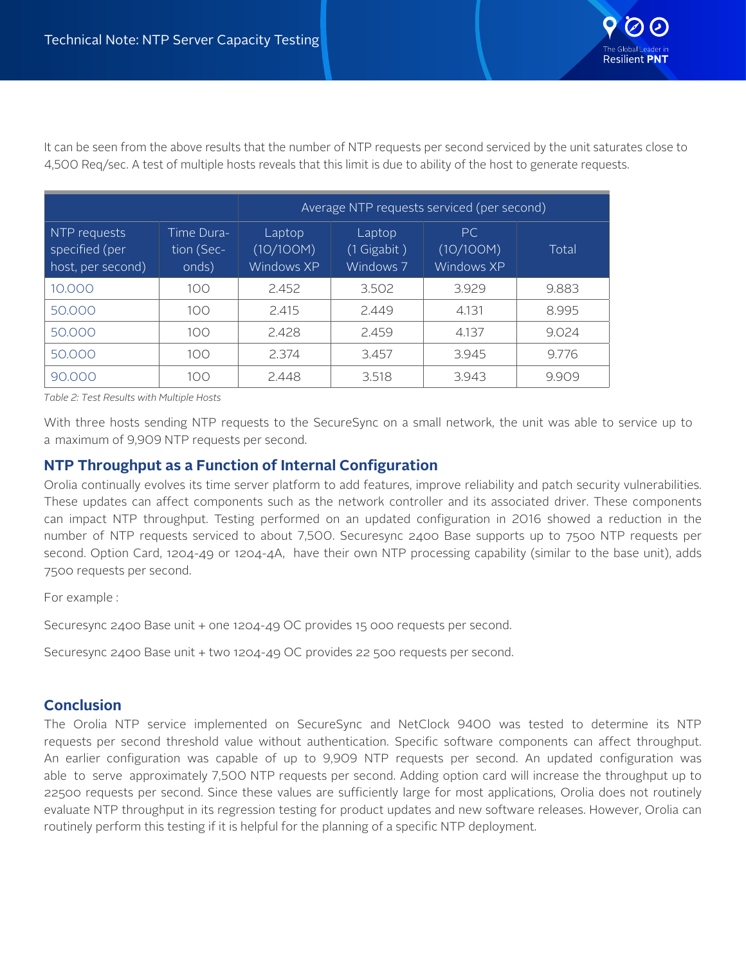

It can be seen from the above results that the number of NTP requests per second serviced by the unit saturates close to 4,500 Req/sec. A test of multiple hosts reveals that this limit is due to ability of the host to generate requests.

|                                                     |                                   | Average NTP requests serviced (per second) |                                      |                                |       |
|-----------------------------------------------------|-----------------------------------|--------------------------------------------|--------------------------------------|--------------------------------|-------|
| NTP requests<br>specified (per<br>host, per second) | Time Dura-<br>tion (Sec-<br>onds) | Laptop<br>(10/100M)<br>Windows XP          | Laptop<br>$(1$ Gigabit)<br>Windows 7 | PC.<br>(10/100M)<br>Windows XP | Total |
| 10,000                                              | 100                               | 2.452                                      | 3.502                                | 3.929                          | 9.883 |
| 50.000                                              | 100                               | 2.415                                      | 2.449                                | 4.131                          | 8.995 |
| 50,000                                              | 100                               | 2.428                                      | 2.459                                | 4.137                          | 9.024 |
| 50.000                                              | 100                               | 2.374                                      | 3.457                                | 3.945                          | 9.776 |
| 90.000                                              | 100                               | 2.448                                      | 3.518                                | 3.943                          | 9.909 |

*Table 2: Test Results with Multiple Hosts*

With three hosts sending NTP requests to the SecureSync on a small network, the unit was able to service up to a maximum of 9,909 NTP requests per second.

## **NTP Throughput as a Function of Internal Configuration**

Orolia continually evolves its time server platform to add features, improve reliability and patch security vulnerabilities. These updates can affect components such as the network controller and its associated driver. These components can impact NTP throughput. Testing performed on an updated configuration in 2016 showed a reduction in the number of NTP requests serviced to about 7,500. Securesync 2400 Base supports up to 7500 NTP requests per second. Option Card, 1204-49 or 1204-4A, have their own NTP processing capability (similar to the base unit), adds 7500 requests per second.

For example :

Securesync 2400 Base unit + one 1204-49 OC provides 15 000 requests per second.

Securesync 2400 Base unit + two 1204-49 OC provides 22 500 requests per second.

#### **Conclusion**

The Orolia NTP service implemented on SecureSync and NetClock 9400 was tested to determine its NTP requests per second threshold value without authentication. Specific software components can affect throughput. An earlier configuration was capable of up to 9,909 NTP requests per second. An updated configuration was able to serve approximately 7,500 NTP requests per second. Adding option card will increase the throughput up to 22500 requests per second. Since these values are sufficiently large for most applications, Orolia does not routinely evaluate NTP throughput in its regression testing for product updates and new software releases. However, Orolia can routinely perform this testing if it is helpful for the planning of a specific NTP deployment.